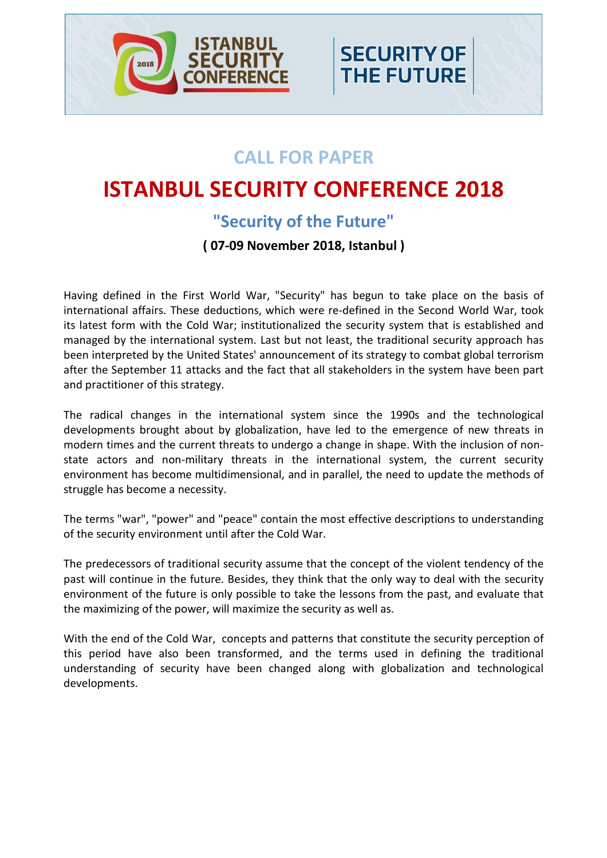

# **CALL FOR PAPER**

**SECURITY OF** 

**THE FUTURE** 

# **ISTANBUL SECURITY CONFERENCE 2018**

## **"Security of the Future"**

## **( 07-09 November 2018, Istanbul )**

Having defined in the First World War, "Security" has begun to take place on the basis of international affairs. These deductions, which were re-defined in the Second World War, took its latest form with the Cold War; institutionalized the security system that is established and managed by the international system. Last but not least, the traditional security approach has been interpreted by the United States' announcement of its strategy to combat global terrorism after the September 11 attacks and the fact that all stakeholders in the system have been part and practitioner of this strategy.

The radical changes in the international system since the 1990s and the technological developments brought about by globalization, have led to the emergence of new threats in modern times and the current threats to undergo a change in shape. With the inclusion of nonstate actors and non-military threats in the international system, the current security environment has become multidimensional, and in parallel, the need to update the methods of struggle has become a necessity.

The terms "war", "power" and "peace" contain the most effective descriptions to understanding of the security environment until after the Cold War.

The predecessors of traditional security assume that the concept of the violent tendency of the past will continue in the future. Besides, they think that the only way to deal with the security environment of the future is only possible to take the lessons from the past, and evaluate that the maximizing of the power, will maximize the security as well as.

With the end of the Cold War, concepts and patterns that constitute the security perception of this period have also been transformed, and the terms used in defining the traditional understanding of security have been changed along with globalization and technological developments.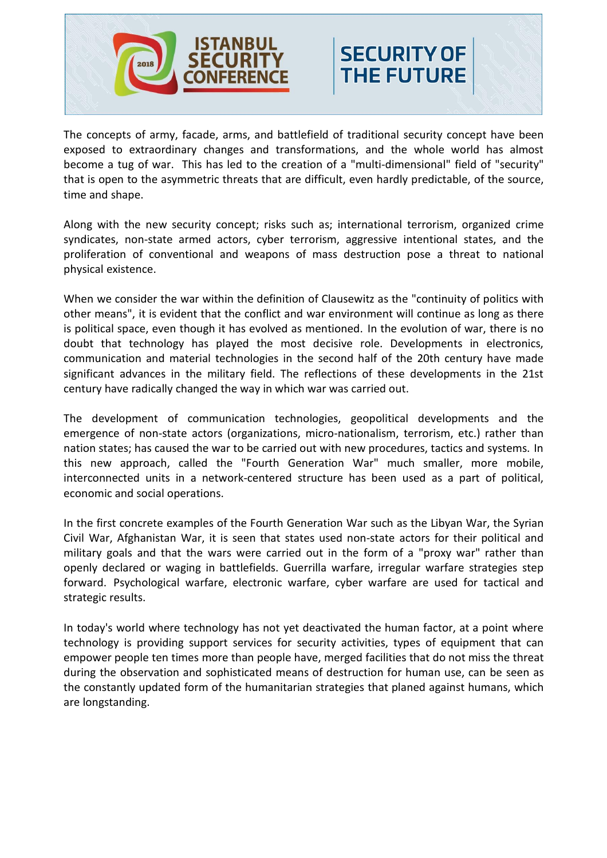

The concepts of army, facade, arms, and battlefield of traditional security concept have been exposed to extraordinary changes and transformations, and the whole world has almost become a tug of war. This has led to the creation of a "multi-dimensional" field of "security" that is open to the asymmetric threats that are difficult, even hardly predictable, of the source, time and shape.

**SECURITY OF** 

**THE FUTURE** 

Along with the new security concept; risks such as; international terrorism, organized crime syndicates, non-state armed actors, cyber terrorism, aggressive intentional states, and the proliferation of conventional and weapons of mass destruction pose a threat to national physical existence.

When we consider the war within the definition of Clausewitz as the "continuity of politics with other means", it is evident that the conflict and war environment will continue as long as there is political space, even though it has evolved as mentioned. In the evolution of war, there is no doubt that technology has played the most decisive role. Developments in electronics, communication and material technologies in the second half of the 20th century have made significant advances in the military field. The reflections of these developments in the 21st century have radically changed the way in which war was carried out.

The development of communication technologies, geopolitical developments and the emergence of non-state actors (organizations, micro-nationalism, terrorism, etc.) rather than nation states; has caused the war to be carried out with new procedures, tactics and systems. In this new approach, called the "Fourth Generation War" much smaller, more mobile, interconnected units in a network-centered structure has been used as a part of political, economic and social operations.

In the first concrete examples of the Fourth Generation War such as the Libyan War, the Syrian Civil War, Afghanistan War, it is seen that states used non-state actors for their political and military goals and that the wars were carried out in the form of a "proxy war" rather than openly declared or waging in battlefields. Guerrilla warfare, irregular warfare strategies step forward. Psychological warfare, electronic warfare, cyber warfare are used for tactical and strategic results.

In today's world where technology has not yet deactivated the human factor, at a point where technology is providing support services for security activities, types of equipment that can empower people ten times more than people have, merged facilities that do not miss the threat during the observation and sophisticated means of destruction for human use, can be seen as the constantly updated form of the humanitarian strategies that planed against humans, which are longstanding.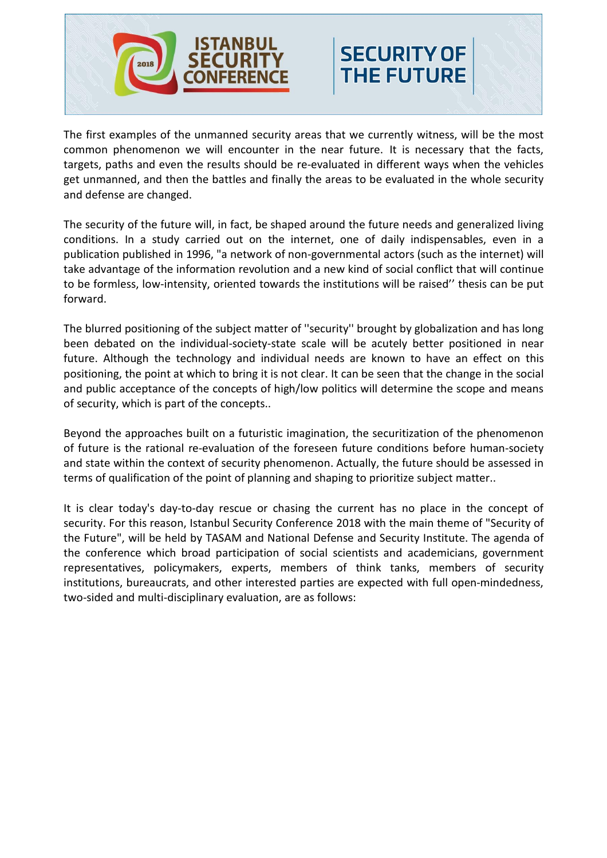

The first examples of the unmanned security areas that we currently witness, will be the most common phenomenon we will encounter in the near future. It is necessary that the facts, targets, paths and even the results should be re-evaluated in different ways when the vehicles get unmanned, and then the battles and finally the areas to be evaluated in the whole security and defense are changed.

**SECURITY OF** 

**THE FUTURE** 

The security of the future will, in fact, be shaped around the future needs and generalized living conditions. In a study carried out on the internet, one of daily indispensables, even in a publication published in 1996, "a network of non-governmental actors (such as the internet) will take advantage of the information revolution and a new kind of social conflict that will continue to be formless, low-intensity, oriented towards the institutions will be raised'' thesis can be put forward.

The blurred positioning of the subject matter of ''security'' brought by globalization and has long been debated on the individual-society-state scale will be acutely better positioned in near future. Although the technology and individual needs are known to have an effect on this positioning, the point at which to bring it is not clear. It can be seen that the change in the social and public acceptance of the concepts of high/low politics will determine the scope and means of security, which is part of the concepts..

Beyond the approaches built on a futuristic imagination, the securitization of the phenomenon of future is the rational re-evaluation of the foreseen future conditions before human-society and state within the context of security phenomenon. Actually, the future should be assessed in terms of qualification of the point of planning and shaping to prioritize subject matter..

It is clear today's day-to-day rescue or chasing the current has no place in the concept of security. For this reason, Istanbul Security Conference 2018 with the main theme of "Security of the Future", will be held by TASAM and National Defense and Security Institute. The agenda of the conference which broad participation of social scientists and academicians, government representatives, policymakers, experts, members of think tanks, members of security institutions, bureaucrats, and other interested parties are expected with full open-mindedness, two-sided and multi-disciplinary evaluation, are as follows: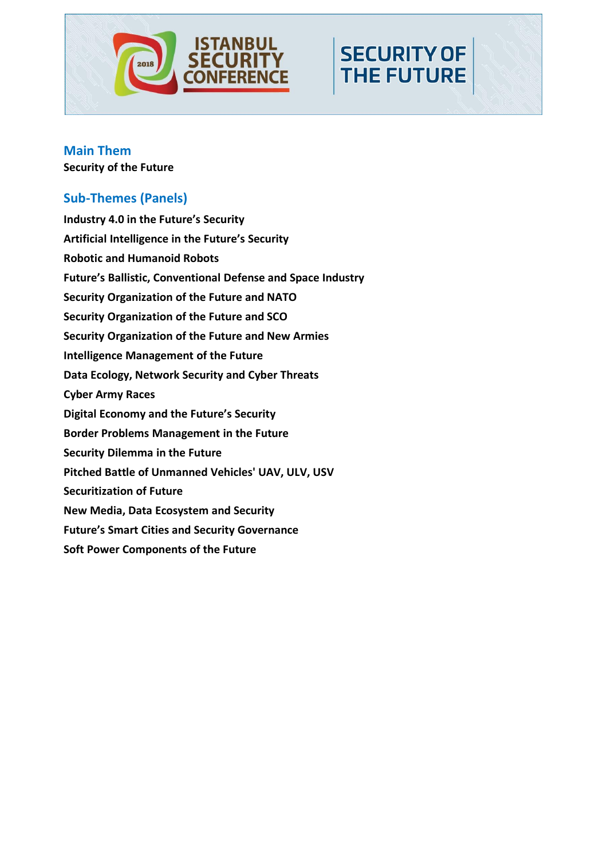

**SECURITY OF** 

**THE FUTURE** 

#### **Main Them Security of the Future**

## **Sub-Themes (Panels)**

**Industry 4.0 in the Future's Security Artificial Intelligence in the Future's Security Robotic and Humanoid Robots Future's Ballistic, Conventional Defense and Space Industry Security Organization of the Future and NATO Security Organization of the Future and SCO Security Organization of the Future and New Armies Intelligence Management of the Future Data Ecology, Network Security and Cyber Threats Cyber Army Races Digital Economy and the Future's Security Border Problems Management in the Future Security Dilemma in the Future Pitched Battle of Unmanned Vehicles' UAV, ULV, USV Securitization of Future New Media, Data Ecosystem and Security Future's Smart Cities and Security Governance Soft Power Components of the Future**